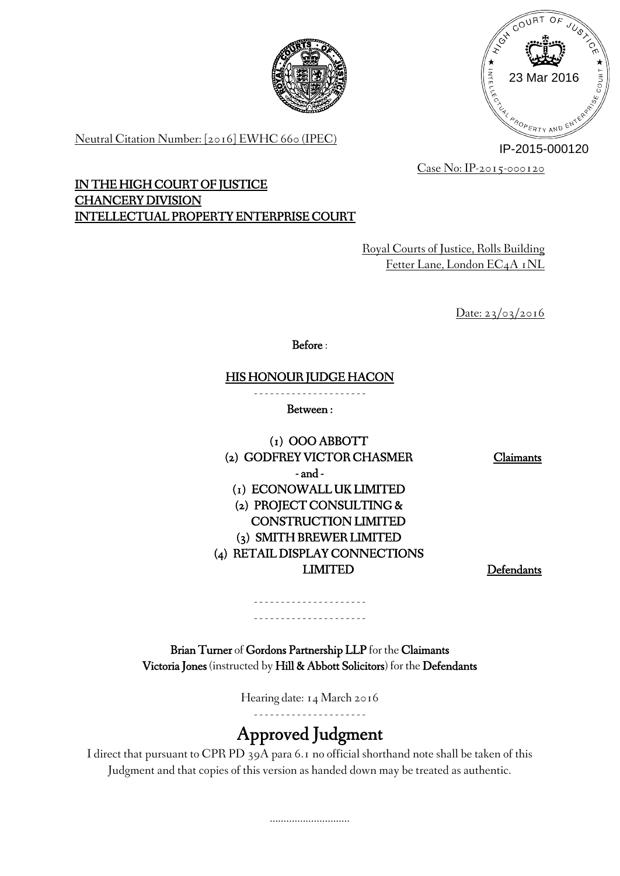



Neutral Citation Number: [2016] EWHC 660 (IPEC)

IP-2015-000120

Case No: IP-2015-000120

# **IN THE HIGH COURT OF JUSTICE CHANCERY DIVISION INTELLECTUAL PROPERTY ENTERPRISE COURT**

Royal Courts of Justice, Rolls Building Fetter Lane, London EC4A 1NL

Date: 23/03/2016

**Before** :

**HIS HONOUR JUDGE HACON**

- - - - - - - - - - - - - - - - - - - - - **Between :**

**(1) OOO ABBOTT (2) GODFREY VICTOR CHASMER Claimants - and - (1) ECONOWALL UK LIMITED (2) PROJECT CONSULTING & CONSTRUCTION LIMITED (3) SMITH BREWER LIMITED (4) RETAIL DISPLAY CONNECTIONS LIMITED Defendants**

**Brian Turner** of **Gordons Partnership LLP** for the **Claimants Victoria Jones** (instructed by **Hill & Abbott Solicitors**) for the **Defendants**

- - - - - - - - - - - - - - - - - - - - - - - - - - - - - - - - - - - - - - - - - -

Hearing date: 14 March 2016

- - - - - - - - - - - - - - - - - - - - -

# **Approved Judgment**

I direct that pursuant to CPR PD 39A para 6.1 no official shorthand note shall be taken of this Judgment and that copies of this version as handed down may be treated as authentic.

.............................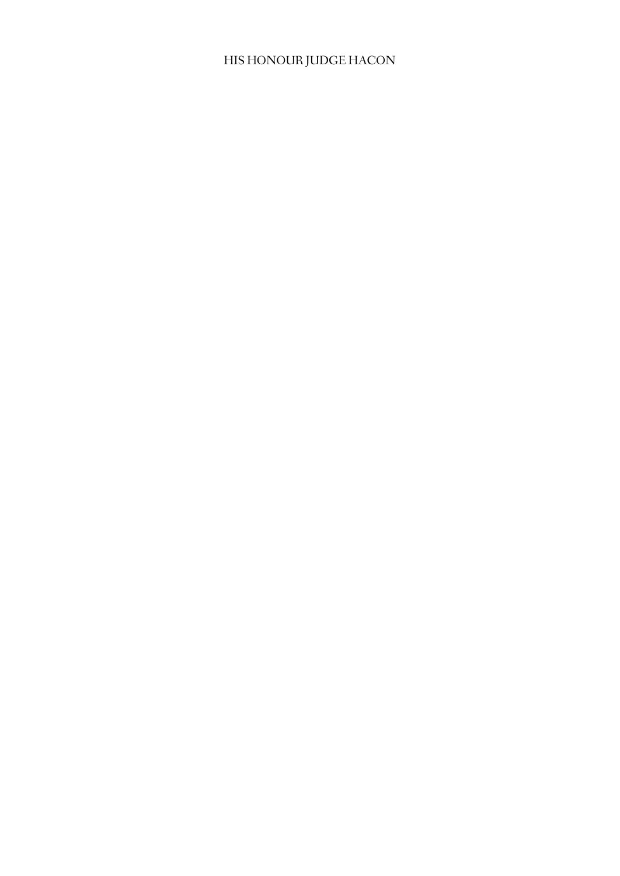# HIS HONOUR JUDGE HACON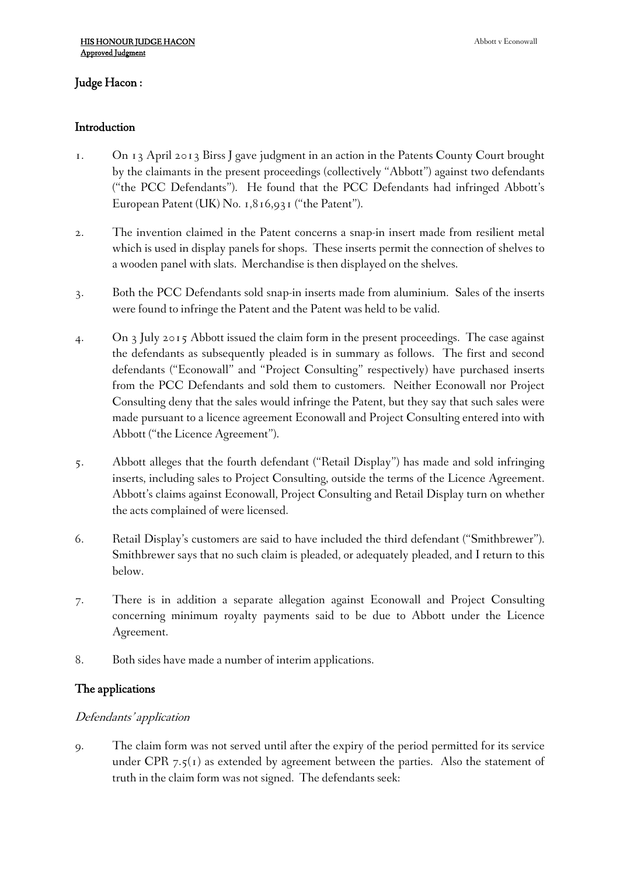# **Judge Hacon :**

#### **Introduction**

- 1. On 13 April 2013 Birss J gave judgment in an action in the Patents County Court brought by the claimants in the present proceedings (collectively "Abbott") against two defendants ("the PCC Defendants"). He found that the PCC Defendants had infringed Abbott's European Patent (UK) No. 1,816,931 ("the Patent").
- 2. The invention claimed in the Patent concerns a snap-in insert made from resilient metal which is used in display panels for shops. These inserts permit the connection of shelves to a wooden panel with slats. Merchandise is then displayed on the shelves.
- 3. Both the PCC Defendants sold snap-in inserts made from aluminium. Sales of the inserts were found to infringe the Patent and the Patent was held to be valid.
- 4. On 3 July 2015 Abbott issued the claim form in the present proceedings. The case against the defendants as subsequently pleaded is in summary as follows. The first and second defendants ("Econowall" and "Project Consulting" respectively) have purchased inserts from the PCC Defendants and sold them to customers. Neither Econowall nor Project Consulting deny that the sales would infringe the Patent, but they say that such sales were made pursuant to a licence agreement Econowall and Project Consulting entered into with Abbott ("the Licence Agreement").
- 5. Abbott alleges that the fourth defendant ("Retail Display") has made and sold infringing inserts, including sales to Project Consulting, outside the terms of the Licence Agreement. Abbott's claims against Econowall, Project Consulting and Retail Display turn on whether the acts complained of were licensed.
- 6. Retail Display's customers are said to have included the third defendant ("Smithbrewer"). Smithbrewer says that no such claim is pleaded, or adequately pleaded, and I return to this below.
- 7. There is in addition a separate allegation against Econowall and Project Consulting concerning minimum royalty payments said to be due to Abbott under the Licence Agreement.
- 8. Both sides have made a number of interim applications.

#### **The applications**

#### *Defendants' application*

9. The claim form was not served until after the expiry of the period permitted for its service under CPR  $7.5(1)$  as extended by agreement between the parties. Also the statement of truth in the claim form was not signed. The defendants seek: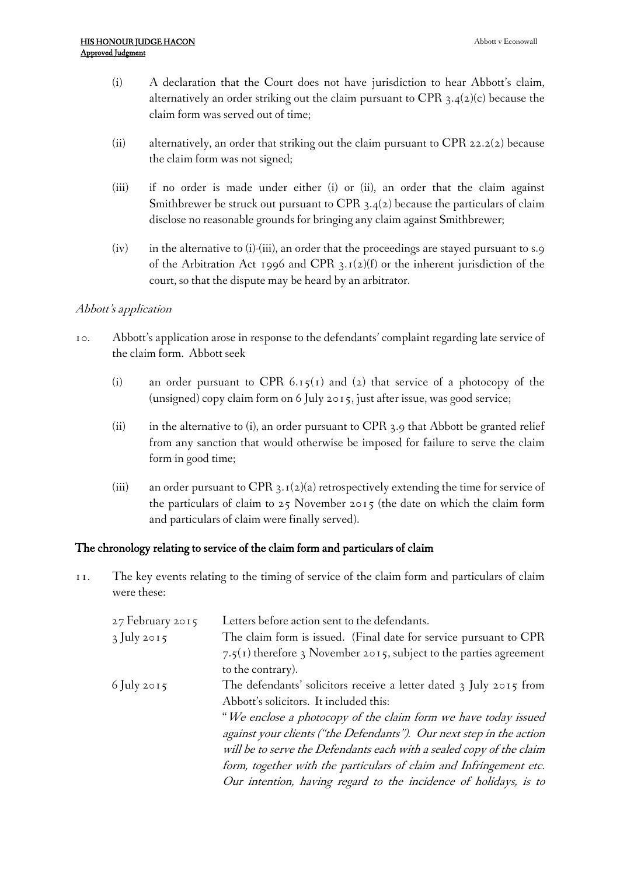- (i) A declaration that the Court does not have jurisdiction to hear Abbott's claim, alternatively an order striking out the claim pursuant to CPR  $3.4(2)(c)$  because the claim form was served out of time;
- (ii) alternatively, an order that striking out the claim pursuant to CPR 22.2(2) because the claim form was not signed;
- (iii) if no order is made under either (i) or (ii), an order that the claim against Smithbrewer be struck out pursuant to CPR 3.4(2) because the particulars of claim disclose no reasonable grounds for bringing any claim against Smithbrewer;
- (iv) in the alternative to (i)-(iii), an order that the proceedings are stayed pursuant to s.9 of the Arbitration Act 1996 and CPR  $3.1(2)(f)$  or the inherent jurisdiction of the court, so that the dispute may be heard by an arbitrator.

### *Abbott's application*

- 10. Abbott's application arose in response to the defendants' complaint regarding late service of the claim form. Abbott seek
	- (i) an order pursuant to CPR 6.15(1) and (2) that service of a photocopy of the (unsigned) copy claim form on 6 July 2015, just after issue, was good service;
	- (ii) in the alternative to (i), an order pursuant to CPR 3.9 that Abbott be granted relief from any sanction that would otherwise be imposed for failure to serve the claim form in good time;
	- (iii) an order pursuant to CPR 3.1(2)(a) retrospectively extending the time for service of the particulars of claim to 25 November 2015 (the date on which the claim form and particulars of claim were finally served).

#### **The chronology relating to service of the claim form and particulars of claim**

11. The key events relating to the timing of service of the claim form and particulars of claim were these:

| 27 February 2015 | Letters before action sent to the defendants.                        |
|------------------|----------------------------------------------------------------------|
| 3 July 2015      | The claim form is issued. (Final date for service pursuant to CPR    |
|                  | 7.5(1) therefore 3 November 2015, subject to the parties agreement   |
|                  | to the contrary).                                                    |
| 6 July 2015      | The defendants' solicitors receive a letter dated 3 July 2015 from   |
|                  | Abbott's solicitors. It included this:                               |
|                  | "We enclose a photocopy of the claim form we have today issued       |
|                  | against your clients ("the Defendants"). Our next step in the action |
|                  | will be to serve the Defendants each with a sealed copy of the claim |
|                  | form, together with the particulars of claim and Infringement etc.   |
|                  | Our intention, having regard to the incidence of holidays, is to     |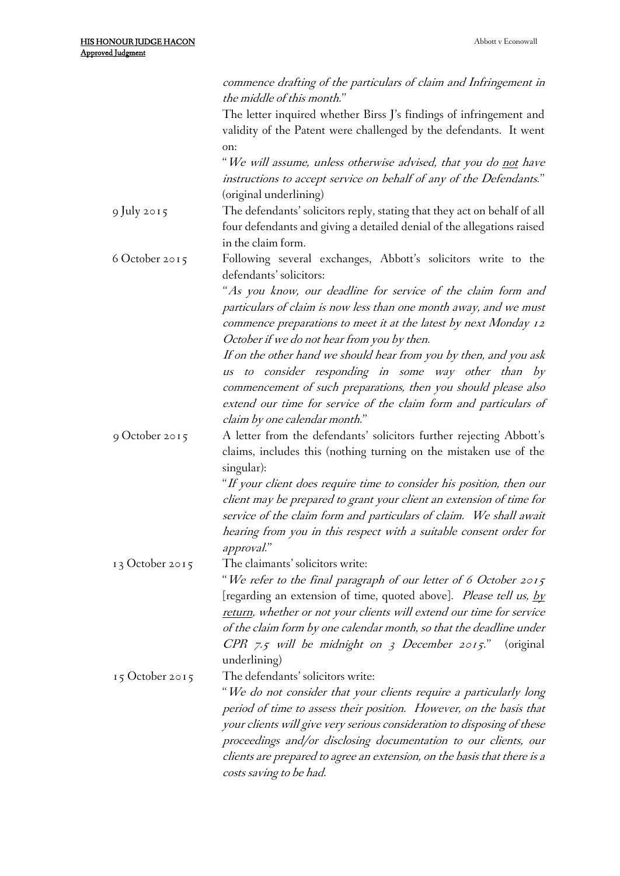|                   | commence drafting of the particulars of claim and Infringement in<br>the middle of this month."                                                                                                                                      |
|-------------------|--------------------------------------------------------------------------------------------------------------------------------------------------------------------------------------------------------------------------------------|
|                   | The letter inquired whether Birss J's findings of infringement and                                                                                                                                                                   |
|                   | validity of the Patent were challenged by the defendants. It went                                                                                                                                                                    |
|                   | on:<br>"We will assume, unless otherwise advised, that you do not have                                                                                                                                                               |
|                   | instructions to accept service on behalf of any of the Defendants."<br>(original underlining)                                                                                                                                        |
| 9 July 2015       | The defendants' solicitors reply, stating that they act on behalf of all                                                                                                                                                             |
|                   | four defendants and giving a detailed denial of the allegations raised<br>in the claim form.                                                                                                                                         |
| 6 October 2015    | Following several exchanges, Abbott's solicitors write to the<br>defendants' solicitors:                                                                                                                                             |
|                   | "As you know, our deadline for service of the claim form and                                                                                                                                                                         |
|                   | particulars of claim is now less than one month away, and we must                                                                                                                                                                    |
|                   | commence preparations to meet it at the latest by next Monday 12<br>October if we do not hear from you by then.                                                                                                                      |
|                   | If on the other hand we should hear from you by then, and you ask                                                                                                                                                                    |
|                   | to consider responding in some way other than by<br><b>US</b><br>commencement of such preparations, then you should please also<br>extend our time for service of the claim form and particulars of<br>claim by one calendar month." |
|                   |                                                                                                                                                                                                                                      |
| 9 October 2015    | A letter from the defendants' solicitors further rejecting Abbott's<br>claims, includes this (nothing turning on the mistaken use of the<br>singular):                                                                               |
|                   | "If your client does require time to consider his position, then our                                                                                                                                                                 |
|                   | client may be prepared to grant your client an extension of time for                                                                                                                                                                 |
|                   |                                                                                                                                                                                                                                      |
|                   | service of the claim form and particulars of claim. We shall await                                                                                                                                                                   |
|                   | hearing from you in this respect with a suitable consent order for                                                                                                                                                                   |
|                   | approval."<br>The claimants' solicitors write:                                                                                                                                                                                       |
| 13 October 2015   |                                                                                                                                                                                                                                      |
|                   | "We refer to the final paragraph of our letter of 6 October 2015                                                                                                                                                                     |
|                   | [regarding an extension of time, quoted above]. Please tell us, by<br>return, whether or not your clients will extend our time for service                                                                                           |
|                   | of the claim form by one calendar month, so that the deadline under                                                                                                                                                                  |
|                   | CPR 7.5 will be midnight on 3 December 2015."<br>(original)                                                                                                                                                                          |
|                   | underlining)                                                                                                                                                                                                                         |
| $15$ October 2015 | The defendants' solicitors write:                                                                                                                                                                                                    |
|                   | "We do not consider that your clients require a particularly long                                                                                                                                                                    |
|                   | period of time to assess their position. However, on the basis that<br>your clients will give very serious consideration to disposing of these<br>proceedings and/or disclosing documentation to our clients, our                    |
|                   | clients are prepared to agree an extension, on the basis that there is a<br>costs saving to be had.                                                                                                                                  |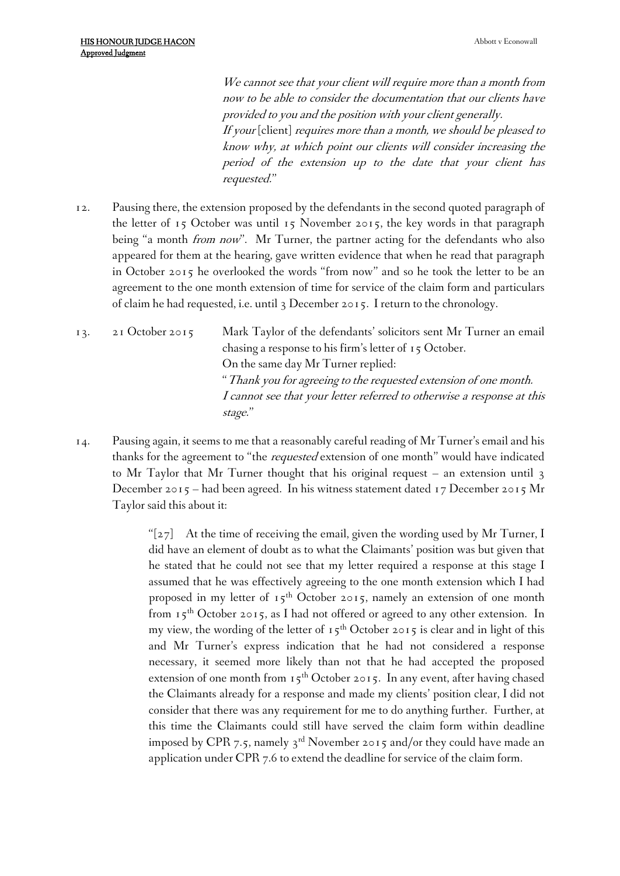*We cannot see that your client will require more than <sup>a</sup> month from now to be able to consider the documentation that our clients have provided to you and the position with your client generally. If your* [client] *requires more than <sup>a</sup> month, we should be pleased to know why, at which point our clients will consider increasing the period of the extension up to the date that your client has requested.*"

- 12. Pausing there, the extension proposed by the defendants in the second quoted paragraph of the letter of 15 October was until 15 November 2015, the key words in that paragraph being "a month *from now*". Mr Turner, the partner acting for the defendants who also appeared for them at the hearing, gave written evidence that when he read that paragraph in October 2015 he overlooked the words "from now" and so he took the letter to be an agreement to the one month extension of time for service of the claim form and particulars of claim he had requested, i.e. until 3 December 2015. I return to the chronology.
- 13. 21 October 2015 Mark Taylor of the defendants' solicitors sent Mr Turner an email chasing a response to his firm's letter of 15 October. On the same day Mr Turner replied: "*Thank you for agreeing to the requested extension of one month. <sup>I</sup> cannot see that your letter referred to otherwise <sup>a</sup> response at this stage.*"
- 14. Pausing again, it seems to me that a reasonably careful reading of Mr Turner's email and his thanks for the agreement to "the *requested* extension of one month" would have indicated to Mr Taylor that Mr Turner thought that his original request – an extension until 3 December 2015 – had been agreed. In his witness statement dated 17 December 2015 Mr Taylor said this about it:

" $[z_7]$  At the time of receiving the email, given the wording used by Mr Turner, I did have an element of doubt as to what the Claimants' position was but given that he stated that he could not see that my letter required a response at this stage I assumed that he was effectively agreeing to the one month extension which I had proposed in my letter of  $15<sup>th</sup>$  October 2015, namely an extension of one month from  $15<sup>th</sup>$  October 2015, as I had not offered or agreed to any other extension. In my view, the wording of the letter of  $15<sup>th</sup>$  October 2015 is clear and in light of this and Mr Turner's express indication that he had not considered a response necessary, it seemed more likely than not that he had accepted the proposed extension of one month from  $15<sup>th</sup>$  October 2015. In any event, after having chased the Claimants already for a response and made my clients' position clear, I did not consider that there was any requirement for me to do anything further. Further, at this time the Claimants could still have served the claim form within deadline imposed by CPR 7.5, namely 3<sup>rd</sup> November 2015 and/or they could have made an application under CPR 7.6 to extend the deadline for service of the claim form.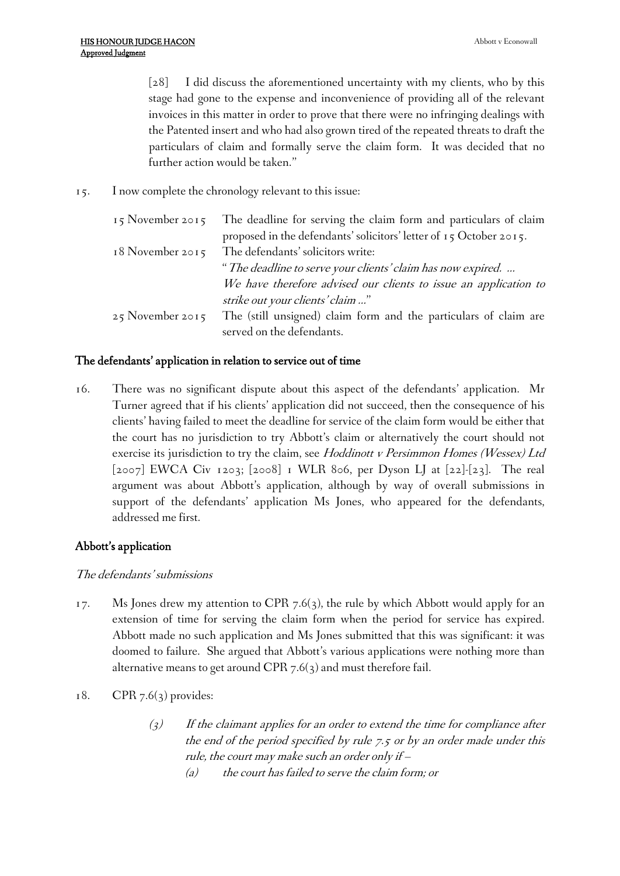[28] I did discuss the aforementioned uncertainty with my clients, who by this stage had gone to the expense and inconvenience of providing all of the relevant invoices in this matter in order to prove that there were no infringing dealings with the Patented insert and who had also grown tired of the repeated threats to draft the particulars of claim and formally serve the claim form. It was decided that no further action would be taken."

15. I now complete the chronology relevant to this issue:

| The deadline for serving the claim form and particulars of claim   |
|--------------------------------------------------------------------|
| proposed in the defendants' solicitors' letter of 15 October 2015. |
| The defendants' solicitors write:                                  |
| "The deadline to serve your clients' claim has now expired.        |
| We have therefore advised our clients to issue an application to   |
| strike out your clients' claim "                                   |
| The (still unsigned) claim form and the particulars of claim are   |
| served on the defendants.                                          |
|                                                                    |

#### **The defendants' application in relation to service out of time**

16. There was no significant dispute about this aspect of the defendants' application. Mr Turner agreed that if his clients' application did not succeed, then the consequence of his clients' having failed to meet the deadline for service of the claim form would be either that the court has no jurisdiction to try Abbott's claim or alternatively the court should not exercise its jurisdiction to try the claim, see *Hoddinott <sup>v</sup> Persimmon Homes (Wessex) Ltd* [2007] EWCA Civ 1203; [2008] 1 WLR 806, per Dyson LJ at [22]-[23]. The real argument was about Abbott's application, although by way of overall submissions in support of the defendants' application Ms Jones, who appeared for the defendants, addressed me first.

#### **Abbott's application**

#### *The defendants' submissions*

- 17. Ms Jones drew my attention to CPR 7.6(3), the rule by which Abbott would apply for an extension of time for serving the claim form when the period for service has expired. Abbott made no such application and Ms Jones submitted that this was significant: it was doomed to failure. She argued that Abbott's various applications were nothing more than alternative means to get around CPR  $7.6(3)$  and must therefore fail.
- 18. CPR 7.6(3) provides:
	- *(3) If the claimant applies for an order to extend the time for compliance after the end of the period specified by rule 7.5 or by an order made under this rule, the court may make such an order only if –*
		- *(a) the court has failed to serve the claim form; or*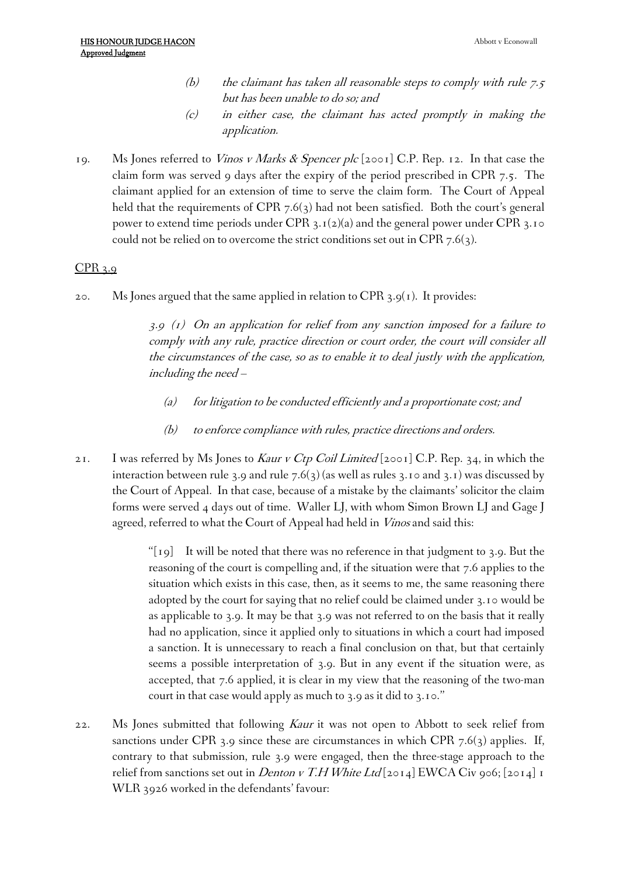- *(b) the claimant has taken all reasonable steps to comply with rule 7.5 but has been unable to do so; and*
- *(c) in either case, the claimant has acted promptly in making the application.*
- 19. Ms Jones referred to *Vinos <sup>v</sup> Marks & Spencer plc* [2001] C.P. Rep. 12. In that case the claim form was served 9 days after the expiry of the period prescribed in CPR 7.5. The claimant applied for an extension of time to serve the claim form. The Court of Appeal held that the requirements of CPR  $7.6(3)$  had not been satisfied. Both the court's general power to extend time periods under CPR  $3.1(2)(a)$  and the general power under CPR  $3.10$ could not be relied on to overcome the strict conditions set out in CPR 7.6(3).

# CPR 3.9

20. Ms Jones argued that the same applied in relation to CPR  $3.9(1)$ . It provides:

*3.9 (1) On an application for relief from any sanction imposed for <sup>a</sup> failure to comply with any rule, practice direction or court order, the court will consider all the circumstances of the case, so as to enable it to deal justly with the application, including the need –*

- *(a) for litigation to be conducted efficiently and <sup>a</sup> proportionate cost; and*
- *(b) to enforce compliance with rules, practice directions and orders.*
- 21. I was referred by Ms Jones to *Kaur <sup>v</sup> Ctp Coil Limited* [2001] C.P. Rep. 34, in which the interaction between rule 3.9 and rule 7.6(3) (as well as rules 3.10 and 3.1) was discussed by the Court of Appeal. In that case, because of a mistake by the claimants' solicitor the claim forms were served 4 days out of time. Waller LJ, with whom Simon Brown LJ and Gage J agreed, referred to what the Court of Appeal had held in *Vinos* and said this:

" $\lceil \text{19} \rceil$  It will be noted that there was no reference in that judgment to 3.9. But the reasoning of the court is compelling and, if the situation were that 7.6 applies to the situation which exists in this case, then, as it seems to me, the same reasoning there adopted by the court for saying that no relief could be claimed under 3.10 would be as applicable to 3.9. It may be that 3.9 was not referred to on the basis that it really had no application, since it applied only to situations in which a court had imposed a sanction. It is unnecessary to reach a final conclusion on that, but that certainly seems a possible interpretation of 3.9. But in any event if the situation were, as accepted, that 7.6 applied, it is clear in my view that the reasoning of the two-man court in that case would apply as much to 3.9 as it did to 3.10."

22. Ms Jones submitted that following *Kaur* it was not open to Abbott to seek relief from sanctions under CPR 3.9 since these are circumstances in which CPR  $7.6(3)$  applies. If, contrary to that submission, rule 3.9 were engaged, then the three-stage approach to the relief from sanctions set out in *Denton <sup>v</sup> T.H White Ltd* [2014] EWCA Civ 906; [2014] 1 WLR 3926 worked in the defendants' favour: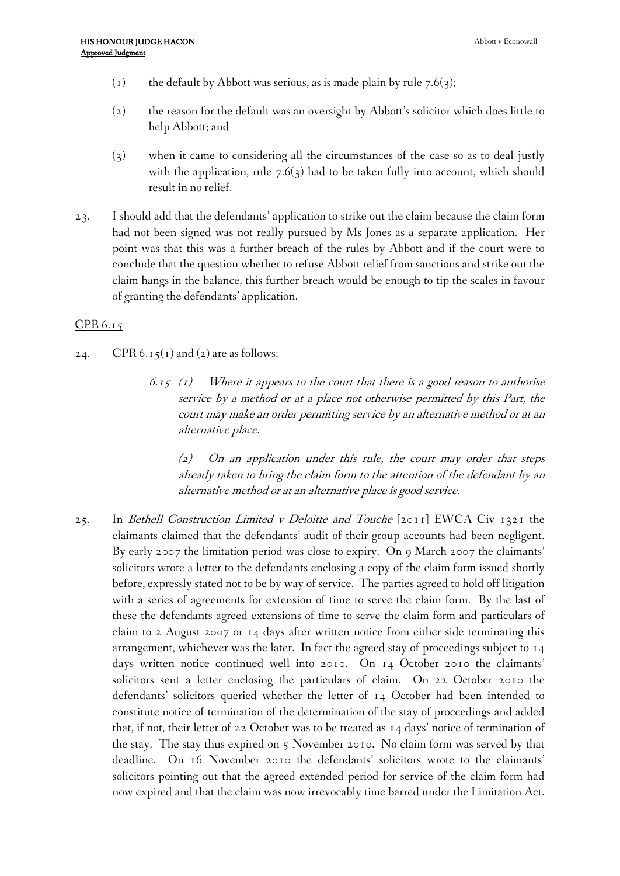- (1) the default by Abbott was serious, as is made plain by rule  $7.6(3)$ ;
- (2) the reason for the default was an oversight by Abbott's solicitor which does little to help Abbott; and
- (3) when it came to considering all the circumstances of the case so as to deal justly with the application, rule  $7.6(3)$  had to be taken fully into account, which should result in no relief.
- 23. I should add that the defendants' application to strike out the claim because the claim form had not been signed was not really pursued by Ms Jones as a separate application. Her point was that this was a further breach of the rules by Abbott and if the court were to conclude that the question whether to refuse Abbott relief from sanctions and strike out the claim hangs in the balance, this further breach would be enough to tip the scales in favour of granting the defendants' application.

#### CPR 6.15

- 24. CPR 6.15(1) and (2) are as follows:
	- *6.15 (1) Where it appears to the court that there is <sup>a</sup> good reason to authorise service by <sup>a</sup> method or at <sup>a</sup> place not otherwise permitted by this Part, the court may make an order permitting service by an alternative method or at an alternative place.*

*(2) On an application under this rule, the court may order that steps already taken to bring the claim form to the attention of the defendant by an alternative method or at an alternative place is good service.*

25. In *Bethell Construction Limited <sup>v</sup> Deloitte and Touche* [2011] EWCA Civ 1321 the claimants claimed that the defendants' audit of their group accounts had been negligent. By early 2007 the limitation period was close to expiry. On 9 March 2007 the claimants' solicitors wrote a letter to the defendants enclosing a copy of the claim form issued shortly before, expressly stated not to be by way of service. The parties agreed to hold off litigation with a series of agreements for extension of time to serve the claim form. By the last of these the defendants agreed extensions of time to serve the claim form and particulars of claim to 2 August 2007 or 14 days after written notice from either side terminating this arrangement, whichever was the later. In fact the agreed stay of proceedings subject to 14 days written notice continued well into 2010. On 14 October 2010 the claimants' solicitors sent a letter enclosing the particulars of claim. On 22 October 2010 the defendants' solicitors queried whether the letter of 14 October had been intended to constitute notice of termination of the determination of the stay of proceedings and added that, if not, their letter of 22 October was to be treated as 14 days' notice of termination of the stay. The stay thus expired on 5 November 2010. No claim form was served by that deadline. On 16 November 2010 the defendants' solicitors wrote to the claimants' solicitors pointing out that the agreed extended period for service of the claim form had now expired and that the claim was now irrevocably time barred under the Limitation Act.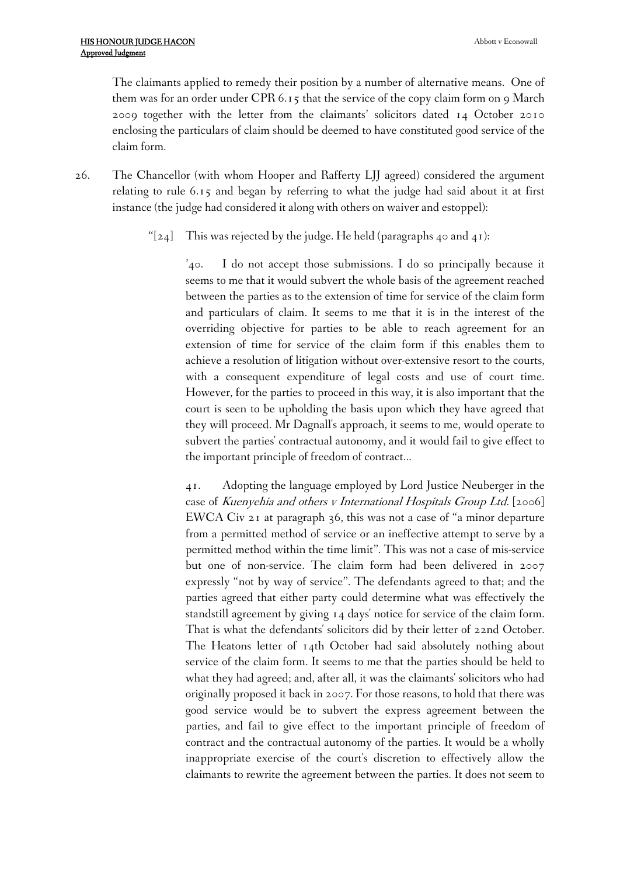The claimants applied to remedy their position by a number of alternative means. One of them was for an order under CPR  $6.15$  that the service of the copy claim form on 9 March 2009 together with the letter from the claimants' solicitors dated 14 October 2010 enclosing the particulars of claim should be deemed to have constituted good service of the claim form.

- 26. The Chancellor (with whom Hooper and Rafferty LJJ agreed) considered the argument relating to rule 6.15 and began by referring to what the judge had said about it at first instance (the judge had considered it along with others on waiver and estoppel):
	- " $[24]$  This was rejected by the judge. He held (paragraphs 40 and 41):

'40. I do not accept those submissions. I do so principally because it seems to me that it would subvert the whole basis of the agreement reached between the parties as to the extension of time for service of the claim form and particulars of claim. It seems to me that it is in the interest of the overriding objective for parties to be able to reach agreement for an extension of time for service of the claim form if this enables them to achieve a resolution of litigation without over-extensive resort to the courts, with a consequent expenditure of legal costs and use of court time. However, for the parties to proceed in this way, it is also important that the court is seen to be upholding the basis upon which they have agreed that they will proceed. Mr Dagnall's approach, it seems to me, would operate to subvert the parties' contractual autonomy, and it would fail to give effect to the important principle of freedom of contract…

41. Adopting the language employed by Lord Justice Neuberger in the case of *[Kuenyehia](http://login.westlaw.co.uk/maf/wluk/app/document?src=doc&linktype=ref&context=19&crumb-action=replace&docguid=ID58372B0E42711DA8FC2A0F0355337E9) and others <sup>v</sup> International Hospitals Group Ltd.* [2006] [EWCA](http://login.westlaw.co.uk/maf/wluk/app/document?src=doc&linktype=ref&context=19&crumb-action=replace&docguid=ID58372B0E42711DA8FC2A0F0355337E9) Civ 21 at paragraph 36, this was not a case of "a minor departure from a permitted method of service or an ineffective attempt to serve by a permitted method within the time limit". This was not a case of mis-service but one of non-service. The claim form had been delivered in 2007 expressly "not by way of service". The defendants agreed to that; and the parties agreed that either party could determine what was effectively the standstill agreement by giving 14 days' notice for service of the claim form. That is what the defendants' solicitors did by their letter of 22nd October. The Heatons letter of 14th October had said absolutely nothing about service of the claim form. It seems to me that the parties should be held to what they had agreed; and, after all, it was the claimants' solicitors who had originally proposed it back in 2007. For those reasons, to hold that there was good service would be to subvert the express agreement between the parties, and fail to give effect to the important principle of freedom of contract and the contractual autonomy of the parties. It would be a wholly inappropriate exercise of the court's discretion to effectively allow the claimants to rewrite the agreement between the parties. It does not seem to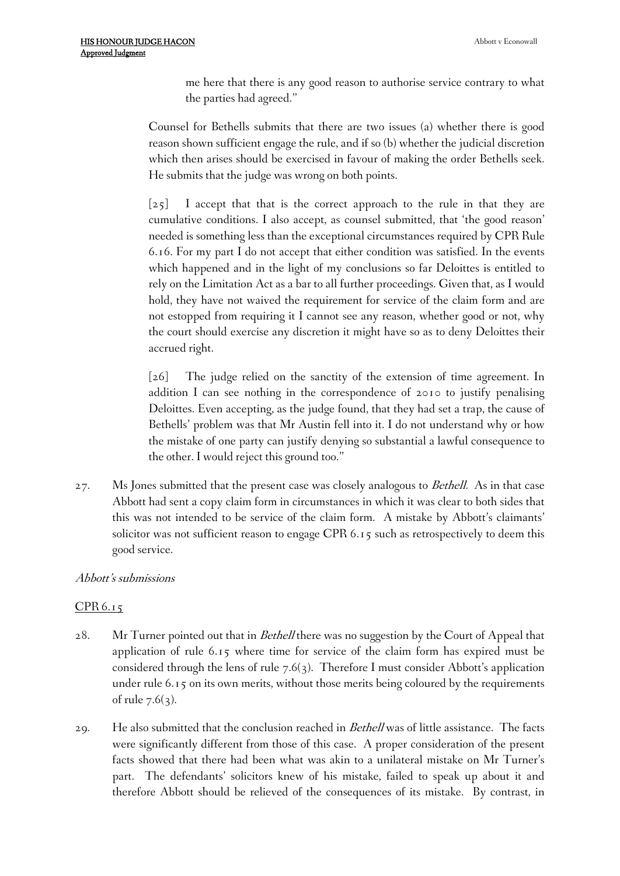me here that there is any good reason to authorise service contrary to what the parties had agreed."

Counsel for Bethells submits that there are two issues (a) whether there is good reason shown sufficient engage the rule, and if so (b) whether the judicial discretion which then arises should be exercised in favour of making the order Bethells seek. He submits that the judge was wrong on both points.

[25] I accept that that is the correct approach to the rule in that they are cumulative conditions. I also accept, as counsel submitted, that 'the good reason' needed is something less than the exceptional circumstances required by [CPR](http://login.westlaw.co.uk/maf/wluk/app/document?src=doc&linktype=ref&context=19&crumb-action=replace&docguid=I0D6FD380E45011DA8D70A0E70A78ED65) Rule [6.16.](http://login.westlaw.co.uk/maf/wluk/app/document?src=doc&linktype=ref&context=19&crumb-action=replace&docguid=I0D6FD380E45011DA8D70A0E70A78ED65) For my [part](http://login.westlaw.co.uk/maf/wluk/app/document?src=doc&linktype=ref&context=19&crumb-action=replace&docguid=I0D4B82A0E45011DA8D70A0E70A78ED65) I do not accept that either condition was satisfied. In the events which happened and in the light of my conclusions so far Deloittes is entitled to rely on the [Limitation](http://login.westlaw.co.uk/maf/wluk/app/document?src=doc&linktype=ref&context=19&crumb-action=replace&docguid=I6034EB00E42311DAA7CF8F68F6EE57AB) Act as a bar to all further proceedings. Given that, as I would hold, they have not waived the requirement for service of the claim form and are not estopped from requiring it I cannot see any reason, whether good or not, why the court should exercise any discretion it might have so as to deny Deloittes their accrued right.

[26] The judge relied on the sanctity of the extension of time agreement. In addition I can see nothing in the correspondence of 2010 to justify penalising Deloittes. Even accepting, as the judge found, that they had set a trap, the cause of Bethells' problem was that Mr Austin fell into it. I do not understand why or how the mistake of one party can justify denying so substantial a lawful consequence to the other. I would reject this ground too."

27. Ms Jones submitted that the present case was closely analogous to *Bethell.* As in that case Abbott had sent a copy claim form in circumstances in which it was clear to both sides that this was not intended to be service of the claim form. A mistake by Abbott's claimants' solicitor was not sufficient reason to engage CPR 6.15 such as retrospectively to deem this good service.

#### *Abbott's submissions*

# CPR 6.15

- 28. Mr Turner pointed out that in *Bethell* there was no suggestion by the Court of Appeal that application of rule 6.15 where time for service of the claim form has expired must be considered through the lens of rule 7.6(3). Therefore I must consider Abbott's application under rule 6.15 on its own merits, without those merits being coloured by the requirements of rule  $7.6(3)$ .
- 29. He also submitted that the conclusion reached in *Bethell* was of little assistance. The facts were significantly different from those of this case. A proper consideration of the present facts showed that there had been what was akin to a unilateral mistake on Mr Turner's part. The defendants' solicitors knew of his mistake, failed to speak up about it and therefore Abbott should be relieved of the consequences of its mistake. By contrast, in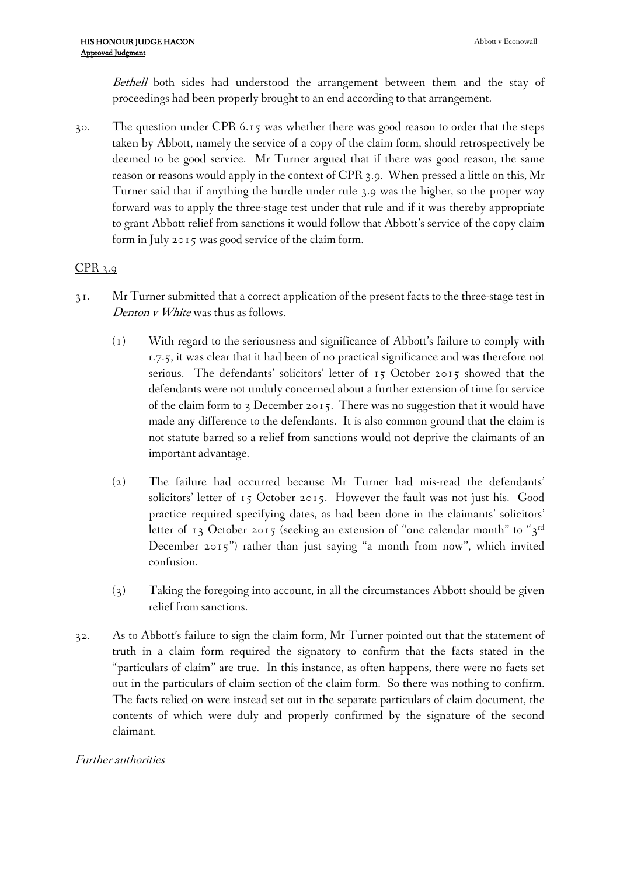*Bethell* both sides had understood the arrangement between them and the stay of proceedings had been properly brought to an end according to that arrangement.

30. The question under CPR 6.15 was whether there was good reason to order that the steps taken by Abbott, namely the service of a copy of the claim form, should retrospectively be deemed to be good service. Mr Turner argued that if there was good reason, the same reason or reasons would apply in the context of CPR 3.9. When pressed a little on this, Mr Turner said that if anything the hurdle under rule 3.9 was the higher, so the proper way forward was to apply the three-stage test under that rule and if it was thereby appropriate to grant Abbott relief from sanctions it would follow that Abbott's service of the copy claim form in July 2015 was good service of the claim form.

# CPR 3.9

- 31. Mr Turner submitted that a correct application of the present facts to the three-stage test in *Denton <sup>v</sup> White* was thus as follows.
	- (1) With regard to the seriousness and significance of Abbott's failure to comply with r.7.5, it was clear that it had been of no practical significance and was therefore not serious. The defendants' solicitors' letter of 15 October 2015 showed that the defendants were not unduly concerned about a further extension of time for service of the claim form to 3 December 2015. There was no suggestion that it would have made any difference to the defendants. It is also common ground that the claim is not statute barred so a relief from sanctions would not deprive the claimants of an important advantage.
	- (2) The failure had occurred because Mr Turner had mis-read the defendants' solicitors' letter of 15 October 2015. However the fault was not just his. Good practice required specifying dates, as had been done in the claimants' solicitors' letter of 13 October 2015 (seeking an extension of "one calendar month" to "3<sup>rd</sup> December 2015") rather than just saying "a month from now", which invited confusion.
	- (3) Taking the foregoing into account, in all the circumstances Abbott should be given relief from sanctions.
- 32. As to Abbott's failure to sign the claim form, Mr Turner pointed out that the statement of truth in a claim form required the signatory to confirm that the facts stated in the "particulars of claim" are true. In this instance, as often happens, there were no facts set out in the particulars of claim section of the claim form. So there was nothing to confirm. The facts relied on were instead set out in the separate particulars of claim document, the contents of which were duly and properly confirmed by the signature of the second claimant.

# *Further authorities*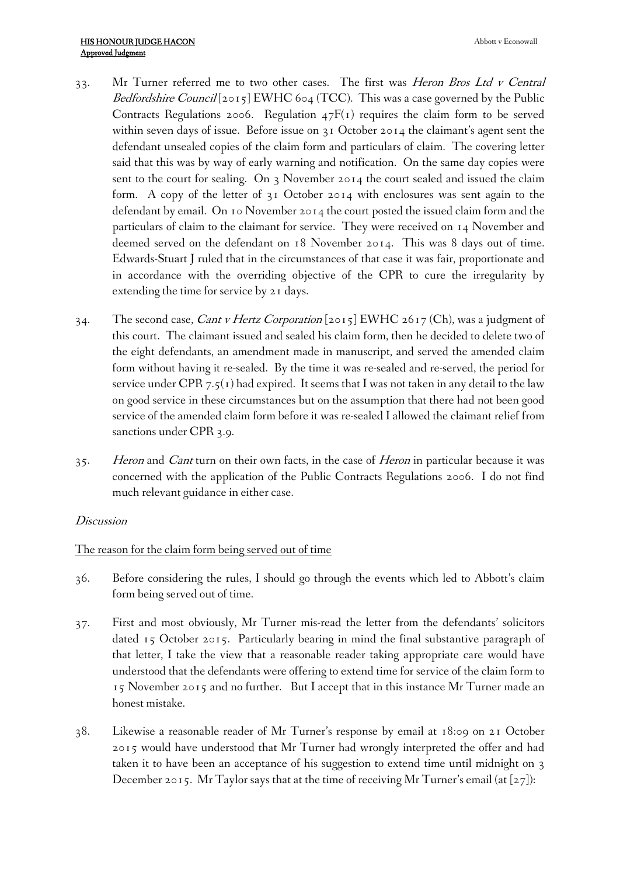- 33. Mr Turner referred me to two other cases. The first was *Heron Bros Ltd <sup>v</sup> Central Bedfordshire Council* [2015] EWHC 604 (TCC). This was a case governed by the Public Contracts Regulations 2006. Regulation 47F(1) requires the claim form to be served within seven days of issue. Before issue on 31 October 2014 the claimant's agent sent the defendant unsealed copies of the claim form and particulars of claim. The covering letter said that this was by way of early warning and notification. On the same day copies were sent to the court for sealing. On 3 November 2014 the court sealed and issued the claim form. A copy of the letter of 31 October 2014 with enclosures was sent again to the defendant by email. On 10 November 2014 the court posted the issued claim form and the particulars of claim to the claimant for service. They were received on 14 November and deemed served on the defendant on 18 November 2014. This was 8 days out of time. Edwards-Stuart J ruled that in the circumstances of that case it was fair, proportionate and in accordance with the overriding objective of the CPR to cure the irregularity by extending the time for service by 21 days.
- 34. The second case, *Cant <sup>v</sup> Hertz Corporation* [2015] EWHC 2617 (Ch), was a judgment of this court. The claimant issued and sealed his claim form, then he decided to delete two of the eight defendants, an amendment made in manuscript, and served the amended claim form without having it re-sealed. By the time it was re-sealed and re-served, the period for service under CPR 7.5(1) had expired. It seems that I was not taken in any detail to the law on good service in these circumstances but on the assumption that there had not been good service of the amended claim form before it was re-sealed I allowed the claimant relief from sanctions under CPR 3.9.
- 35. *Heron* and *Cant* turn on their own facts, in the case of *Heron* in particular because it was concerned with the application of the Public Contracts Regulations 2006. I do not find much relevant guidance in either case.

#### *Discussion*

#### The reason for the claim form being served out of time

- 36. Before considering the rules, I should go through the events which led to Abbott's claim form being served out of time.
- 37. First and most obviously, Mr Turner mis-read the letter from the defendants' solicitors dated 15 October 2015. Particularly bearing in mind the final substantive paragraph of that letter, I take the view that a reasonable reader taking appropriate care would have understood that the defendants were offering to extend time for service of the claim form to 15 November 2015 and no further. But I accept that in this instance Mr Turner made an honest mistake.
- 38. Likewise a reasonable reader of Mr Turner's response by email at 18:09 on 21 October 2015 would have understood that Mr Turner had wrongly interpreted the offer and had taken it to have been an acceptance of his suggestion to extend time until midnight on 3 December 2015. Mr Taylor says that at the time of receiving Mr Turner's email (at  $[27]$ ):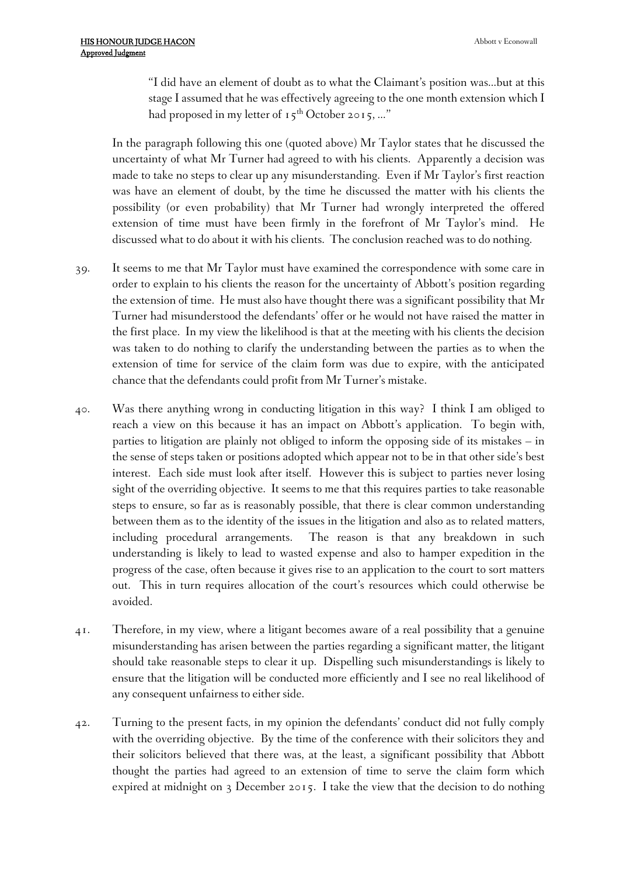"I did have an element of doubt as to what the Claimant's position was…but at this stage I assumed that he was effectively agreeing to the one month extension which I had proposed in my letter of  $15^{th}$  October 2015, ..."

In the paragraph following this one (quoted above) Mr Taylor states that he discussed the uncertainty of what Mr Turner had agreed to with his clients. Apparently a decision was made to take no steps to clear up any misunderstanding. Even if Mr Taylor's first reaction was have an element of doubt, by the time he discussed the matter with his clients the possibility (or even probability) that Mr Turner had wrongly interpreted the offered extension of time must have been firmly in the forefront of Mr Taylor's mind. He discussed what to do about it with his clients. The conclusion reached was to do nothing.

- 39. It seems to me that Mr Taylor must have examined the correspondence with some care in order to explain to his clients the reason for the uncertainty of Abbott's position regarding the extension of time. He must also have thought there was a significant possibility that Mr Turner had misunderstood the defendants' offer or he would not have raised the matter in the first place. In my view the likelihood is that at the meeting with his clients the decision was taken to do nothing to clarify the understanding between the parties as to when the extension of time for service of the claim form was due to expire, with the anticipated chance that the defendants could profit from Mr Turner's mistake.
- 40. Was there anything wrong in conducting litigation in this way? I think I am obliged to reach a view on this because it has an impact on Abbott's application. To begin with, parties to litigation are plainly not obliged to inform the opposing side of its mistakes – in the sense of steps taken or positions adopted which appear not to be in that other side's best interest. Each side must look after itself. However this is subject to parties never losing sight of the overriding objective. It seems to me that this requires parties to take reasonable steps to ensure, so far as is reasonably possible, that there is clear common understanding between them as to the identity of the issues in the litigation and also as to related matters, including procedural arrangements. The reason is that any breakdown in such understanding is likely to lead to wasted expense and also to hamper expedition in the progress of the case, often because it gives rise to an application to the court to sort matters out. This in turn requires allocation of the court's resources which could otherwise be avoided.
- 41. Therefore, in my view, where a litigant becomes aware of a real possibility that a genuine misunderstanding has arisen between the parties regarding a significant matter, the litigant should take reasonable steps to clear it up. Dispelling such misunderstandings is likely to ensure that the litigation will be conducted more efficiently and I see no real likelihood of any consequent unfairness to either side.
- 42. Turning to the present facts, in my opinion the defendants' conduct did not fully comply with the overriding objective. By the time of the conference with their solicitors they and their solicitors believed that there was, at the least, a significant possibility that Abbott thought the parties had agreed to an extension of time to serve the claim form which expired at midnight on 3 December 2015. I take the view that the decision to do nothing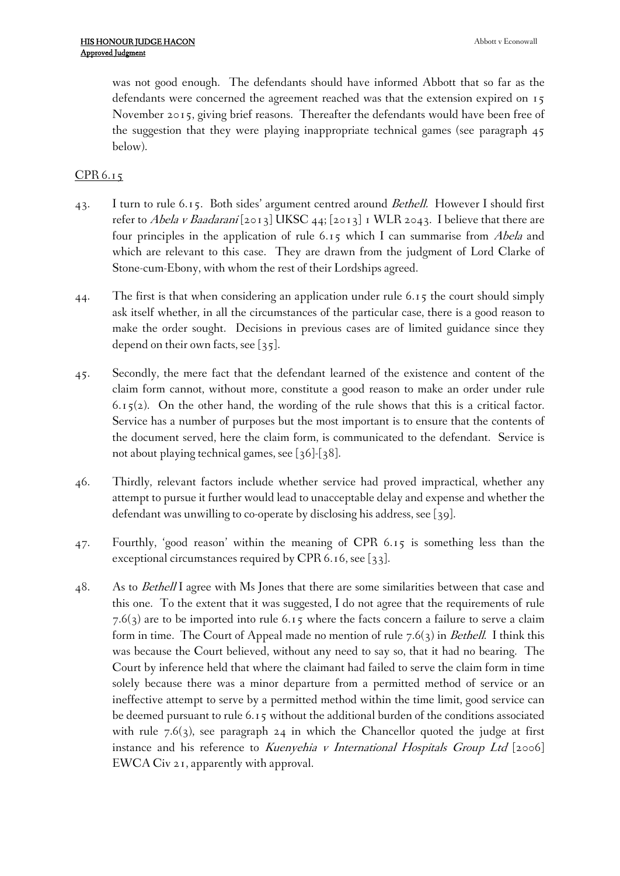was not good enough. The defendants should have informed Abbott that so far as the defendants were concerned the agreement reached was that the extension expired on 15 November 2015, giving brief reasons. Thereafter the defendants would have been free of the suggestion that they were playing inappropriate technical games (see paragraph 45 below).

# CPR 6.15

- 43. I turn to rule 6.15. Both sides' argument centred around *Bethell.* However I should first refer to *Abela <sup>v</sup> Baadarani* [2013] UKSC 44; [2013] 1 WLR 2043. I believe that there are four principles in the application of rule 6.15 which I can summarise from *Abela* and which are relevant to this case. They are drawn from the judgment of Lord Clarke of Stone-cum-Ebony, with whom the rest of their Lordships agreed.
- 44. The first is that when considering an application under rule 6.15 the court should simply ask itself whether, in all the circumstances of the particular case, there is a good reason to make the order sought. Decisions in previous cases are of limited guidance since they depend on their own facts, see [35].
- 45. Secondly, the mere fact that the defendant learned of the existence and content of the claim form cannot, without more, constitute a good reason to make an order under rule  $6.15(2)$ . On the other hand, the wording of the rule shows that this is a critical factor. Service has a number of purposes but the most important is to ensure that the contents of the document served, here the claim form, is communicated to the defendant. Service is not about playing technical games, see [36]-[38].
- 46. Thirdly, relevant factors include whether service had proved impractical, whether any attempt to pursue it further would lead to unacceptable delay and expense and whether the defendant was unwilling to co-operate by disclosing his address, see [39].
- 47. Fourthly, 'good reason' within the meaning of CPR 6.15 is something less than the exceptional circumstances required by CPR 6.16, see [33].
- 48. As to *Bethell* I agree with Ms Jones that there are some similarities between that case and this one. To the extent that it was suggested, I do not agree that the requirements of rule  $7.6(3)$  are to be imported into rule 6.15 where the facts concern a failure to serve a claim form in time. The Court of Appeal made no mention of rule 7.6(3) in *Bethell*. I think this was because the Court believed, without any need to say so, that it had no bearing. The Court by inference held that where the claimant had failed to serve the claim form in time solely because there was a minor departure from a permitted method of service or an ineffective attempt to serve by a permitted method within the time limit, good service can be deemed pursuant to rule 6.15 without the additional burden of the conditions associated with rule  $7.6(3)$ , see paragraph 24 in which the Chancellor quoted the judge at first instance and his reference to *Kuenyehia <sup>v</sup> International Hospitals Group Ltd* [2006] EWCA Civ 21, apparently with approval.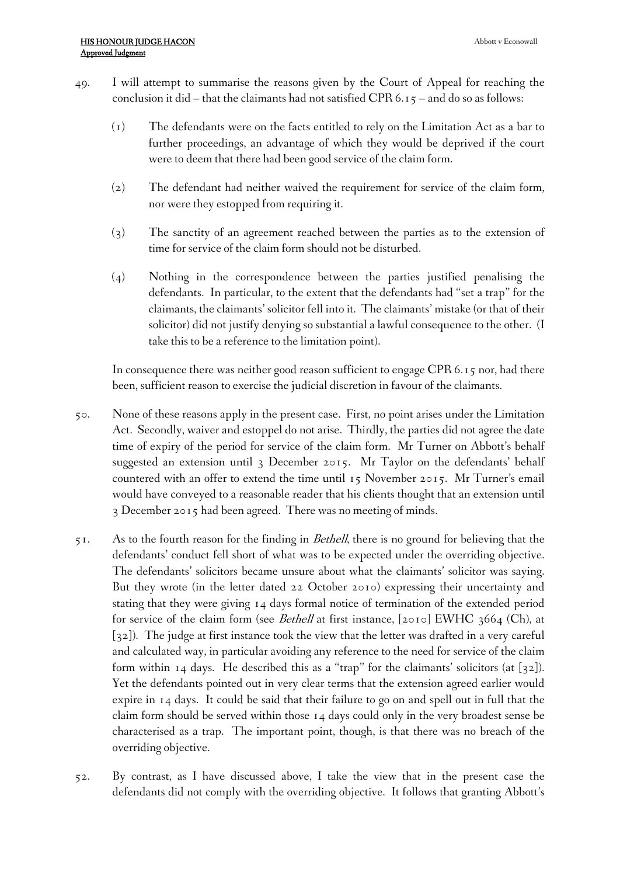- 49. I will attempt to summarise the reasons given by the Court of Appeal for reaching the conclusion it did – that the claimants had not satisfied CPR 6.15 – and do so as follows:
	- (1) The defendants were on the facts entitled to rely on the Limitation Act as a bar to further proceedings, an advantage of which they would be deprived if the court were to deem that there had been good service of the claim form.
	- (2) The defendant had neither waived the requirement for service of the claim form, nor were they estopped from requiring it.
	- (3) The sanctity of an agreement reached between the parties as to the extension of time for service of the claim form should not be disturbed.
	- (4) Nothing in the correspondence between the parties justified penalising the defendants. In particular, to the extent that the defendants had "set a trap" for the claimants, the claimants' solicitor fell into it. The claimants' mistake (or that of their solicitor) did not justify denying so substantial a lawful consequence to the other. (I take this to be a reference to the limitation point).

In consequence there was neither good reason sufficient to engage CPR  $6.15$  nor, had there been, sufficient reason to exercise the judicial discretion in favour of the claimants.

- 50. None of these reasons apply in the present case. First, no point arises under the Limitation Act. Secondly, waiver and estoppel do not arise. Thirdly, the parties did not agree the date time of expiry of the period for service of the claim form. Mr Turner on Abbott's behalf suggested an extension until 3 December 2015. Mr Taylor on the defendants' behalf countered with an offer to extend the time until 15 November 2015. Mr Turner's email would have conveyed to a reasonable reader that his clients thought that an extension until 3 December 2015 had been agreed. There was no meeting of minds.
- 51. As to the fourth reason for the finding in *Bethell*, there is no ground for believing that the defendants' conduct fell short of what was to be expected under the overriding objective. The defendants' solicitors became unsure about what the claimants' solicitor was saying. But they wrote (in the letter dated 22 October 2010) expressing their uncertainty and stating that they were giving 14 days formal notice of termination of the extended period for service of the claim form (see *Bethell* at first instance, [2010] EWHC 3664 (Ch), at [32]). The judge at first instance took the view that the letter was drafted in a very careful and calculated way, in particular avoiding any reference to the need for service of the claim form within 14 days. He described this as a "trap" for the claimants' solicitors (at [32]). Yet the defendants pointed out in very clear terms that the extension agreed earlier would expire in 14 days. It could be said that their failure to go on and spell out in full that the claim form should be served within those 14 days could only in the very broadest sense be characterised as a trap. The important point, though, is that there was no breach of the overriding objective.
- 52. By contrast, as I have discussed above, I take the view that in the present case the defendants did not comply with the overriding objective. It follows that granting Abbott's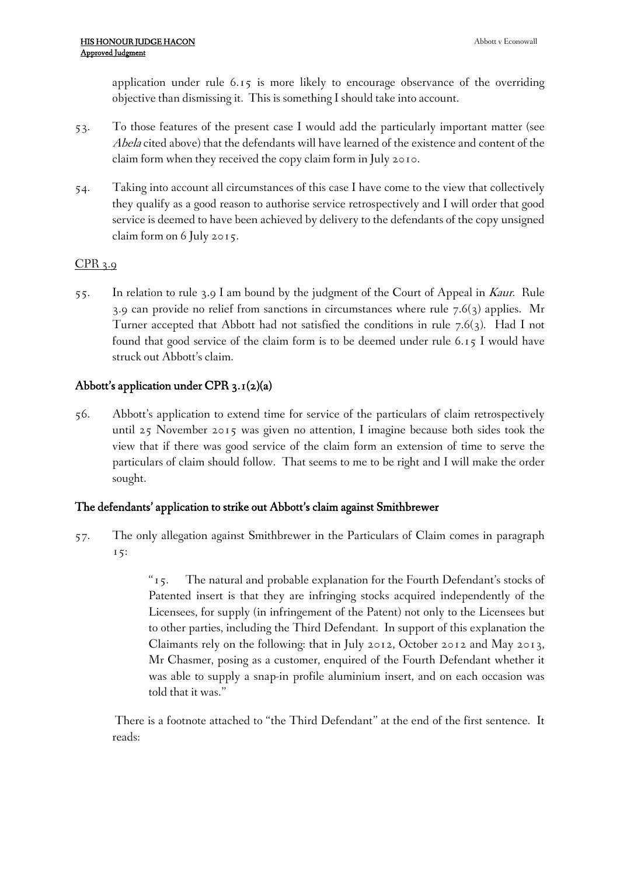application under rule 6.15 is more likely to encourage observance of the overriding objective than dismissing it. This is something I should take into account.

- 53. To those features of the present case I would add the particularly important matter (see *Abela* cited above) that the defendants will have learned of the existence and content of the claim form when they received the copy claim form in July 2010.
- 54. Taking into account all circumstances of this case I have come to the view that collectively they qualify as a good reason to authorise service retrospectively and I will order that good service is deemed to have been achieved by delivery to the defendants of the copy unsigned claim form on 6 July 2015.

# CPR 3.9

55. In relation to rule 3.9 I am bound by the judgment of the Court of Appeal in *Kaur*. Rule 3.9 can provide no relief from sanctions in circumstances where rule  $7.6(3)$  applies. Mr Turner accepted that Abbott had not satisfied the conditions in rule  $7.6(3)$ . Had I not found that good service of the claim form is to be deemed under rule 6.15 I would have struck out Abbott's claim.

# **Abbott's application under CPR 3.1(2)(a)**

56. Abbott's application to extend time for service of the particulars of claim retrospectively until 25 November 2015 was given no attention, I imagine because both sides took the view that if there was good service of the claim form an extension of time to serve the particulars of claim should follow. That seems to me to be right and I will make the order sought.

# **The defendants' application to strike out Abbott's claim against Smithbrewer**

57. The only allegation against Smithbrewer in the Particulars of Claim comes in paragraph 15:

> "15. The natural and probable explanation for the Fourth Defendant's stocks of Patented insert is that they are infringing stocks acquired independently of the Licensees, for supply (in infringement of the Patent) not only to the Licensees but to other parties, including the Third Defendant. In support of this explanation the Claimants rely on the following: that in July 2012, October 2012 and May 2013, Mr Chasmer, posing as a customer, enquired of the Fourth Defendant whether it was able to supply a snap-in profile aluminium insert, and on each occasion was told that it was."

There is a footnote attached to "the Third Defendant" at the end of the first sentence. It reads: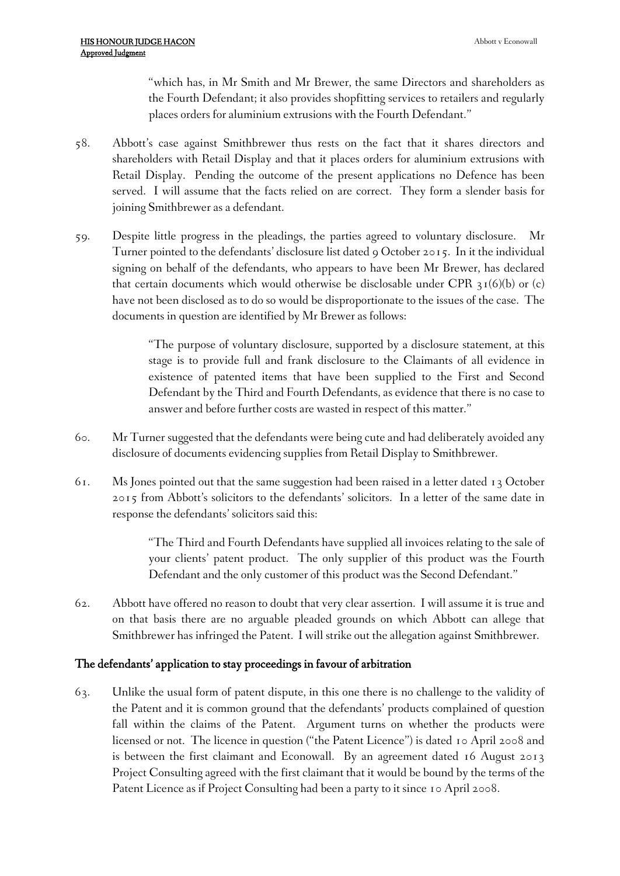"which has, in Mr Smith and Mr Brewer, the same Directors and shareholders as the Fourth Defendant; it also provides shopfitting services to retailers and regularly places orders for aluminium extrusions with the Fourth Defendant."

- 58. Abbott's case against Smithbrewer thus rests on the fact that it shares directors and shareholders with Retail Display and that it places orders for aluminium extrusions with Retail Display. Pending the outcome of the present applications no Defence has been served. I will assume that the facts relied on are correct. They form a slender basis for joining Smithbrewer as a defendant.
- 59. Despite little progress in the pleadings, the parties agreed to voluntary disclosure. Mr Turner pointed to the defendants' disclosure list dated 9 October 2015. In it the individual signing on behalf of the defendants, who appears to have been Mr Brewer, has declared that certain documents which would otherwise be disclosable under CPR  $\frac{31}{6}$ (b) or (c) have not been disclosed as to do so would be disproportionate to the issues of the case. The documents in question are identified by Mr Brewer as follows:

"The purpose of voluntary disclosure, supported by a disclosure statement, at this stage is to provide full and frank disclosure to the Claimants of all evidence in existence of patented items that have been supplied to the First and Second Defendant by the Third and Fourth Defendants, as evidence that there is no case to answer and before further costs are wasted in respect of this matter."

- 60. Mr Turner suggested that the defendants were being cute and had deliberately avoided any disclosure of documents evidencing supplies from Retail Display to Smithbrewer.
- 61. Ms Jones pointed out that the same suggestion had been raised in a letter dated 13 October 2015 from Abbott's solicitors to the defendants' solicitors. In a letter of the same date in response the defendants' solicitors said this:

"The Third and Fourth Defendants have supplied all invoices relating to the sale of your clients' patent product. The only supplier of this product was the Fourth Defendant and the only customer of this product was the Second Defendant."

62. Abbott have offered no reason to doubt that very clear assertion. I will assume it is true and on that basis there are no arguable pleaded grounds on which Abbott can allege that Smithbrewer has infringed the Patent. I will strike out the allegation against Smithbrewer.

#### **The defendants' application to stay proceedings in favour of arbitration**

63. Unlike the usual form of patent dispute, in this one there is no challenge to the validity of the Patent and it is common ground that the defendants' products complained of question fall within the claims of the Patent. Argument turns on whether the products were licensed or not. The licence in question ("the Patent Licence") is dated 10 April 2008 and is between the first claimant and Econowall. By an agreement dated 16 August 2013 Project Consulting agreed with the first claimant that it would be bound by the terms of the Patent Licence as if Project Consulting had been a party to it since 10 April 2008.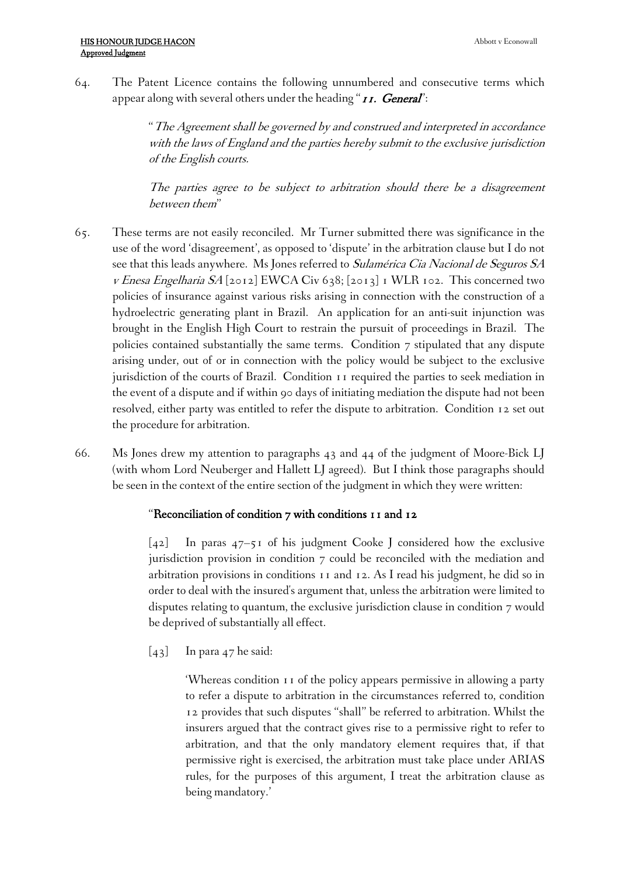64. The Patent Licence contains the following unnumbered and consecutive terms which appear along with several others under the heading "*11. General*":

> "*The Agreement shall be governed by and construed and interpreted in accordance with the laws of England and the parties hereby submit to the exclusive jurisdiction of the English courts.*

> *The parties agree to be subject to arbitration should there be <sup>a</sup> disagreement between them*"

- 65. These terms are not easily reconciled. Mr Turner submitted there was significance in the use of the word 'disagreement', as opposed to 'dispute' in the arbitration clause but I do not see that this leads anywhere. Ms Jones referred to *Sulamérica Cia Nacional de Seguros SA <sup>v</sup> Enesa Engelharia SA* [2012] EWCA Civ 638; [2013] 1 WLR 102. This concerned two policies of insurance against various risks arising in connection with the construction of a hydroelectric generating plant in Brazil. An application for an anti-suit injunction was brought in the English High Court to restrain the pursuit of proceedings in Brazil. The policies contained substantially the same terms. Condition 7 stipulated that any dispute arising under, out of or in connection with the policy would be subject to the exclusive jurisdiction of the courts of Brazil. Condition 11 required the parties to seek mediation in the event of a dispute and if within 90 days of initiating mediation the dispute had not been resolved, either party was entitled to refer the dispute to arbitration. Condition 12 set out the procedure for arbitration.
- 66. Ms Jones drew my attention to paragraphs 43 and 44 of the judgment of Moore-Bick LJ (with whom Lord Neuberger and Hallett LJ agreed). But I think those paragraphs should be seen in the context of the entire section of the judgment in which they were written:

#### "**Reconciliation of condition 7 with conditions 11 and 12**

[42] In paras 47–51 of his judgment Cooke J considered how the exclusive jurisdiction provision in condition 7 could be reconciled with the mediation and arbitration provisions in conditions 11 and 12. As I read his judgment, he did so in order to deal with the insured's argument that, unless the arbitration were limited to disputes relating to quantum, the exclusive jurisdiction clause in condition 7 would be deprived of substantially all effect.

[43] In para 47 he said:

'Whereas condition 11 of the policy appears permissive in allowing a party to refer a dispute to arbitration in the circumstances referred to, condition 12 provides that such disputes "shall" be referred to arbitration. Whilst the insurers argued that the contract gives rise to a permissive right to refer to arbitration, and that the only mandatory element requires that, if that permissive right is exercised, the arbitration must take place under ARIAS rules, for the purposes of this argument, I treat the arbitration clause as being mandatory.'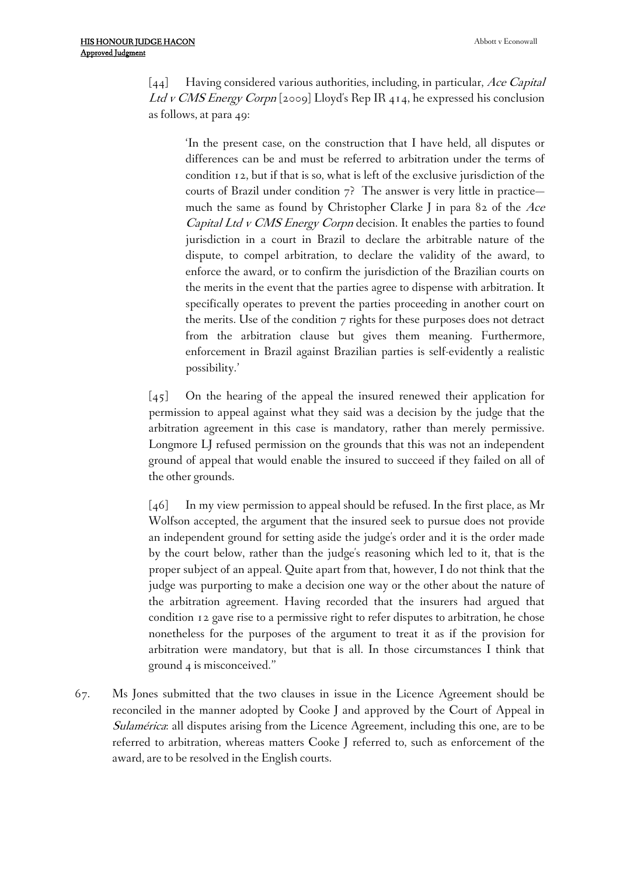[44] Having considered various authorities, including, in particular, *Ace [Capital](http://login.westlaw.co.uk/maf/wluk/app/document?src=doc&linktype=ref&context=12&crumb-action=replace&docguid=I17FA473064FB11DD850EAA2ECD25EE7B) Ltd <sup>v</sup> CMS [Energy](http://login.westlaw.co.uk/maf/wluk/app/document?src=doc&linktype=ref&context=12&crumb-action=replace&docguid=I17FA473064FB11DD850EAA2ECD25EE7B) Corpn* [2009] Lloyd's Rep IR 414, he expressed his conclusion as follows, at para 49:

'In the present case, on the construction that I have held, all disputes or differences can be and must be referred to arbitration under the terms of condition 12, but if that is so, what is left of the exclusive jurisdiction of the courts of Brazil under condition 7? The answer is very little in practice much the same as found by Christopher Clarke J in para 82 of the *Ace Capital Ltd <sup>v</sup> CMS Energy Corpn* decision. It enables the parties to found jurisdiction in a court in Brazil to declare the arbitrable nature of the dispute, to compel arbitration, to declare the validity of the award, to enforce the award, or to confirm the jurisdiction of the Brazilian courts on the merits in the event that the parties agree to dispense with arbitration. It specifically operates to prevent the parties proceeding in another court on the merits. Use of the condition 7 rights for these purposes does not detract from the arbitration clause but gives them meaning. Furthermore, enforcement in Brazil against Brazilian parties is self-evidently a realistic possibility.'

[45] On the hearing of the appeal the insured renewed their application for permission to appeal against what they said was a decision by the judge that the arbitration agreement in this case is mandatory, rather than merely permissive. Longmore LJ refused permission on the grounds that this was not an independent ground of appeal that would enable the insured to succeed if they failed on all of the other grounds.

[46] In my view permission to appeal should be refused. In the first place, as Mr Wolfson accepted, the argument that the insured seek to pursue does not provide an independent ground for setting aside the judge's order and it is the order made by the court below, rather than the judge's reasoning which led to it, that is the proper subject of an appeal. Quite apart from that, however, I do not think that the judge was purporting to make a decision one way or the other about the nature of the arbitration agreement. Having recorded that the insurers had argued that condition 12 gave rise to a permissive right to refer disputes to arbitration, he chose nonetheless for the purposes of the argument to treat it as if the provision for arbitration were mandatory, but that is all. In those circumstances I think that ground 4 is misconceived."

67. Ms Jones submitted that the two clauses in issue in the Licence Agreement should be reconciled in the manner adopted by Cooke J and approved by the Court of Appeal in *Sulamérica*: all disputes arising from the Licence Agreement, including this one, are to be referred to arbitration, whereas matters Cooke J referred to, such as enforcement of the award, are to be resolved in the English courts.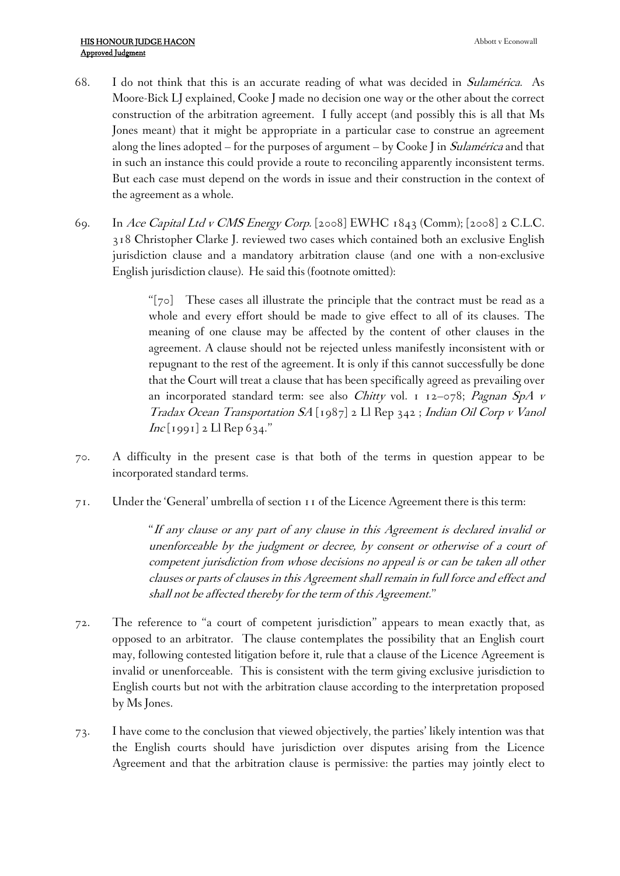- 68. I do not think that this is an accurate reading of what was decided in *Sulamérica*. As Moore-Bick LJ explained, Cooke J made no decision one way or the other about the correct construction of the arbitration agreement. I fully accept (and possibly this is all that Ms Jones meant) that it might be appropriate in a particular case to construe an agreement along the lines adopted – for the purposes of argument – by Cooke J in *Sulamérica* and that in such an instance this could provide a route to reconciling apparently inconsistent terms. But each case must depend on the words in issue and their construction in the context of the agreement as a whole.
- 69. In *Ace Capital Ltd <sup>v</sup> CMS Energy Corp.* [2008] EWHC 1843 (Comm); [2008] 2 C.L.C. 318 Christopher Clarke J. reviewed two cases which contained both an exclusive English jurisdiction clause and a mandatory arbitration clause (and one with a non-exclusive English jurisdiction clause). He said this (footnote omitted):

"[70] These cases all illustrate the principle that the contract must be read as a whole and every effort should be made to give effect to all of its clauses. The meaning of one clause may be affected by the content of other clauses in the agreement. A clause should not be rejected unless manifestly inconsistent with or repugnant to the rest of the agreement. It is only if this cannot successfully be done that the Court will treat a clause that has been specifically agreed as prevailing over an incorporated standard term: see also *Chitty* vol. 1 12–078; *Pagnan SpA <sup>v</sup> Tradax Ocean Transportation SA* [1987] 2 Ll Rep 342 ; *Indian Oil Corp <sup>v</sup> Vanol Inc* [1991] 2 Ll Rep 634."

- 70. A difficulty in the present case is that both of the terms in question appear to be incorporated standard terms.
- 71. Under the 'General' umbrella of section 11 of the Licence Agreement there is this term:

"*If any clause or any part of any clause in this Agreement is declared invalid or unenforceable by the judgment or decree, by consent or otherwise of <sup>a</sup> court of competent jurisdiction from whose decisions no appeal is or can be taken all other clauses or parts of clauses in this Agreement shall remain in full force and effect and shall not be affected thereby for the term of this Agreement.*"

- 72. The reference to "a court of competent jurisdiction" appears to mean exactly that, as opposed to an arbitrator. The clause contemplates the possibility that an English court may, following contested litigation before it, rule that a clause of the Licence Agreement is invalid or unenforceable. This is consistent with the term giving exclusive jurisdiction to English courts but not with the arbitration clause according to the interpretation proposed by Ms Jones.
- 73. I have come to the conclusion that viewed objectively, the parties' likely intention was that the English courts should have jurisdiction over disputes arising from the Licence Agreement and that the arbitration clause is permissive: the parties may jointly elect to